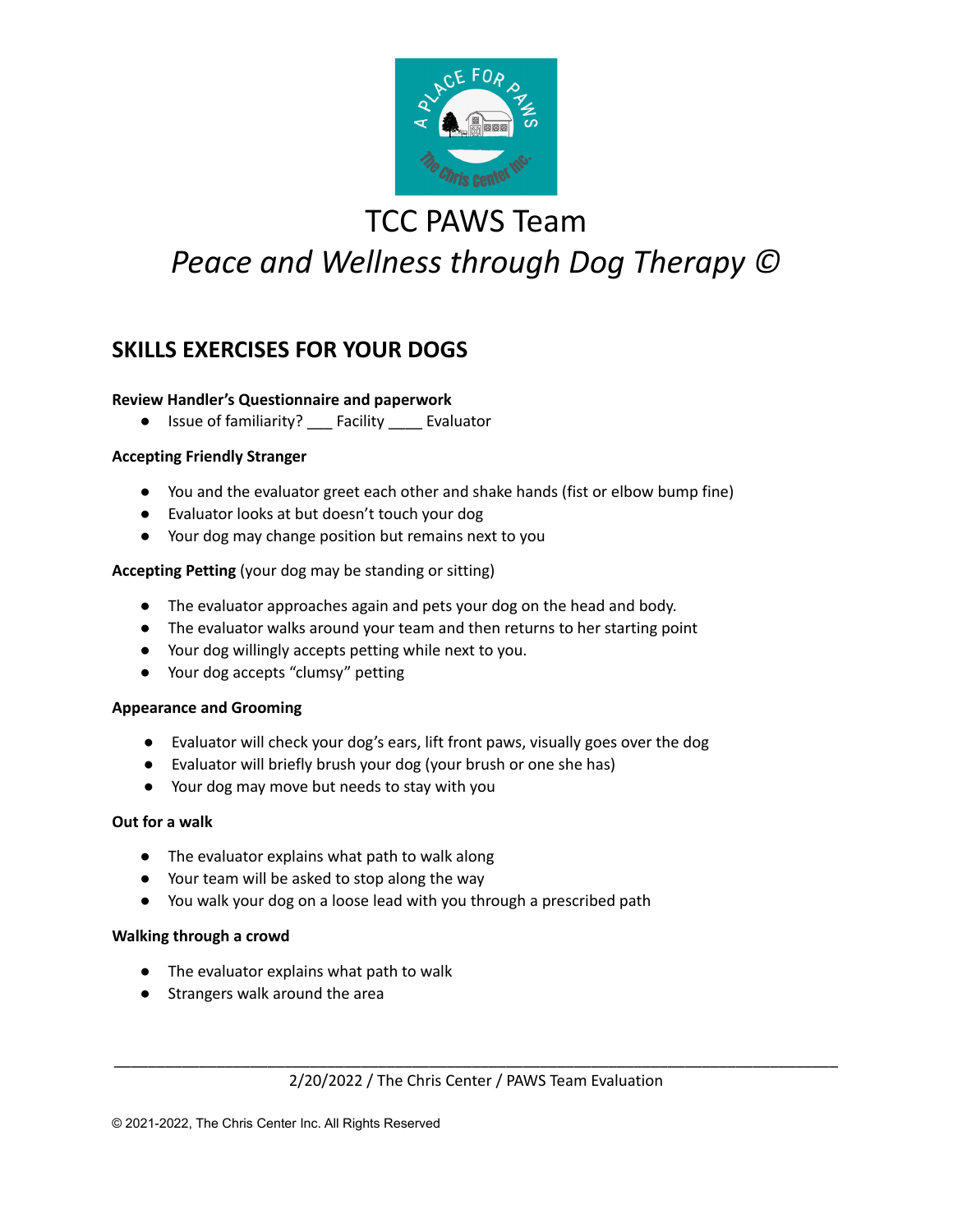

# TCC PAWS Team *Peace and Wellness through Dog Therapy ©*

### **SKILLS EXERCISES FOR YOUR DOGS**

#### **Review Handler's Questionnaire and paperwork**

● Issue of familiarity? \_\_\_ Facility \_\_\_\_ Evaluator

#### **Accepting Friendly Stranger**

- You and the evaluator greet each other and shake hands (fist or elbow bump fine)
- Evaluator looks at but doesn't touch your dog
- Your dog may change position but remains next to you

#### **Accepting Petting** (your dog may be standing or sitting)

- The evaluator approaches again and pets your dog on the head and body.
- The evaluator walks around your team and then returns to her starting point
- Your dog willingly accepts petting while next to you.
- Your dog accepts "clumsy" petting

#### **Appearance and Grooming**

- Evaluator will check your dog's ears, lift front paws, visually goes over the dog
- Evaluator will briefly brush your dog (your brush or one she has)
- Your dog may move but needs to stay with you

#### **Out for a walk**

- The evaluator explains what path to walk along
- Your team will be asked to stop along the way
- You walk your dog on a loose lead with you through a prescribed path

#### **Walking through a crowd**

- The evaluator explains what path to walk
- Strangers walk around the area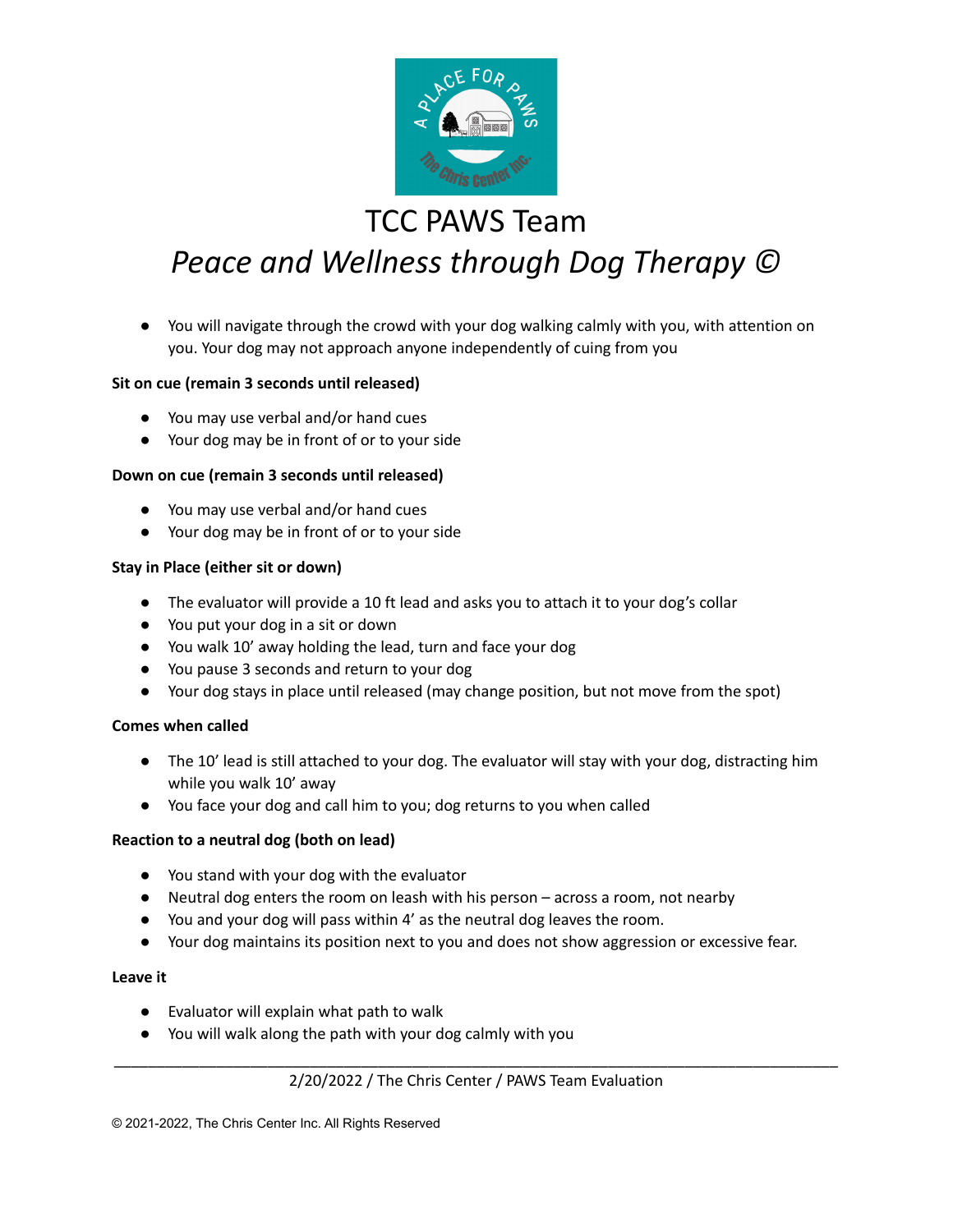

## TCC PAWS Team

# *Peace and Wellness through Dog Therapy ©*

● You will navigate through the crowd with your dog walking calmly with you, with attention on you. Your dog may not approach anyone independently of cuing from you

#### **Sit on cue (remain 3 seconds until released)**

- You may use verbal and/or hand cues
- Your dog may be in front of or to your side

#### **Down on cue (remain 3 seconds until released)**

- You may use verbal and/or hand cues
- Your dog may be in front of or to your side

#### **Stay in Place (either sit or down)**

- The evaluator will provide a 10 ft lead and asks you to attach it to your dog's collar
- You put your dog in a sit or down
- You walk 10' away holding the lead, turn and face your dog
- You pause 3 seconds and return to your dog
- Your dog stays in place until released (may change position, but not move from the spot)

#### **Comes when called**

- The 10' lead is still attached to your dog. The evaluator will stay with your dog, distracting him while you walk 10' away
- You face your dog and call him to you; dog returns to you when called

#### **Reaction to a neutral dog (both on lead)**

- You stand with your dog with the evaluator
- Neutral dog enters the room on leash with his person across a room, not nearby
- You and your dog will pass within 4' as the neutral dog leaves the room.
- Your dog maintains its position next to you and does not show aggression or excessive fear.

#### **Leave it**

- Evaluator will explain what path to walk
- You will walk along the path with your dog calmly with you

#### \_\_\_\_\_\_\_\_\_\_\_\_\_\_\_\_\_\_\_\_\_\_\_\_\_\_\_\_\_\_\_\_\_\_\_\_\_\_\_\_\_\_\_\_\_\_\_\_\_\_\_\_\_\_\_\_\_\_\_\_\_\_\_\_\_\_\_\_\_\_\_\_\_\_\_\_\_\_\_\_\_\_\_\_\_ 2/20/2022 / The Chris Center / PAWS Team Evaluation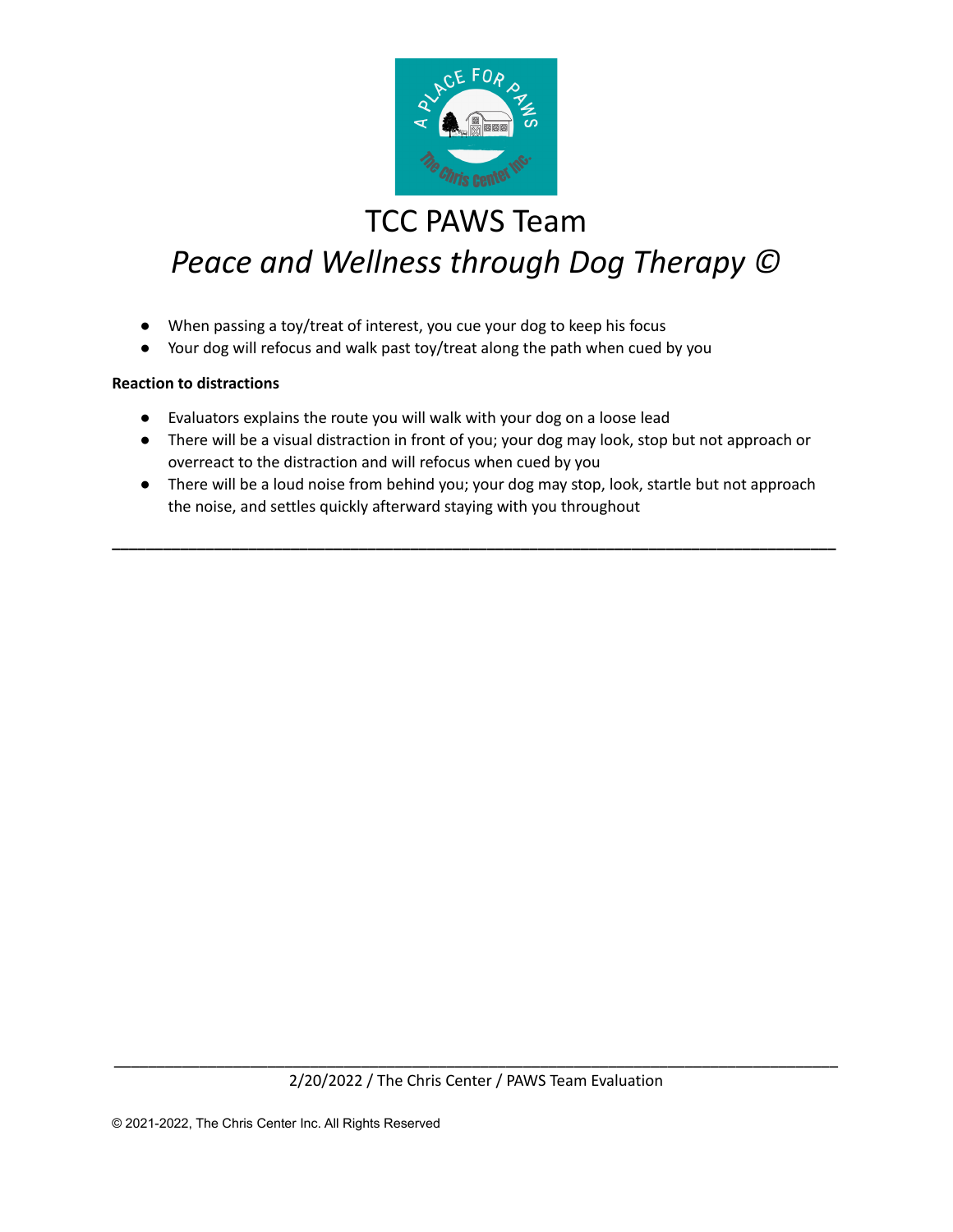

## TCC PAWS Team

# *Peace and Wellness through Dog Therapy ©*

- When passing a toy/treat of interest, you cue your dog to keep his focus
- Your dog will refocus and walk past toy/treat along the path when cued by you

#### **Reaction to distractions**

- Evaluators explains the route you will walk with your dog on a loose lead
- There will be a visual distraction in front of you; your dog may look, stop but not approach or overreact to the distraction and will refocus when cued by you
- There will be a loud noise from behind you; your dog may stop, look, startle but not approach the noise, and settles quickly afterward staying with you throughout

**\_\_\_\_\_\_\_\_\_\_\_\_\_\_\_\_\_\_\_\_\_\_\_\_\_\_\_\_\_\_\_\_\_\_\_\_\_\_\_\_\_\_\_\_\_\_\_\_\_\_\_\_\_\_\_\_\_\_\_\_\_\_\_\_\_\_\_\_\_\_\_\_\_\_\_\_\_\_\_\_\_\_\_\_\_**